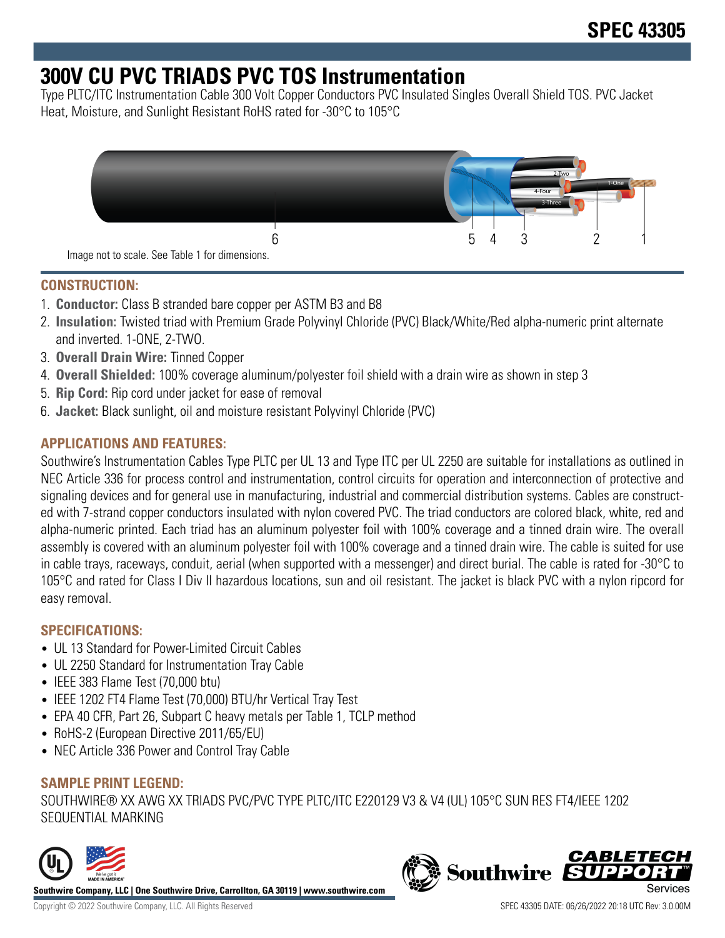# **300V CU PVC TRIADS PVC TOS Instrumentation**

Type PLTC/ITC Instrumentation Cable 300 Volt Copper Conductors PVC Insulated Singles Overall Shield TOS. PVC Jacket Heat, Moisture, and Sunlight Resistant RoHS rated for -30°C to 105°C



#### **CONSTRUCTION:**

- 1. **Conductor:** Class B stranded bare copper per ASTM B3 and B8
- 2. **Insulation:** Twisted triad with Premium Grade Polyvinyl Chloride (PVC) Black/White/Red alpha-numeric print alternate and inverted. 1-ONE, 2-TWO.
- 3. **Overall Drain Wire:** Tinned Copper
- 4. **Overall Shielded:** 100% coverage aluminum/polyester foil shield with a drain wire as shown in step 3
- 5. **Rip Cord:** Rip cord under jacket for ease of removal
- 6. **Jacket:** Black sunlight, oil and moisture resistant Polyvinyl Chloride (PVC)

## **APPLICATIONS AND FEATURES:**

Southwire's Instrumentation Cables Type PLTC per UL 13 and Type ITC per UL 2250 are suitable for installations as outlined in NEC Article 336 for process control and instrumentation, control circuits for operation and interconnection of protective and signaling devices and for general use in manufacturing, industrial and commercial distribution systems. Cables are constructed with 7-strand copper conductors insulated with nylon covered PVC. The triad conductors are colored black, white, red and alpha-numeric printed. Each triad has an aluminum polyester foil with 100% coverage and a tinned drain wire. The overall assembly is covered with an aluminum polyester foil with 100% coverage and a tinned drain wire. The cable is suited for use in cable trays, raceways, conduit, aerial (when supported with a messenger) and direct burial. The cable is rated for -30°C to 105°C and rated for Class I Div II hazardous locations, sun and oil resistant. The jacket is black PVC with a nylon ripcord for easy removal.

## **SPECIFICATIONS:**

- UL 13 Standard for Power-Limited Circuit Cables
- UL 2250 Standard for Instrumentation Tray Cable
- IEEE 383 Flame Test (70,000 btu)
- IEEE 1202 FT4 Flame Test (70,000) BTU/hr Vertical Tray Test
- EPA 40 CFR, Part 26, Subpart C heavy metals per Table 1, TCLP method
- RoHS-2 (European Directive 2011/65/EU)
- NEC Article 336 Power and Control Tray Cable

#### **SAMPLE PRINT LEGEND:**

SOUTHWIRE® XX AWG XX TRIADS PVC/PVC TYPE PLTC/ITC E220129 V3 & V4 (UL) 105°C SUN RES FT4/IEEE 1202 SEQUENTIAL MARKING





Copyright © 2022 Southwire Company, LLC. All Rights Reserved SPEC 43305 DATE: 06/26/2022 20:18 UTC Rev: 3.0.00M

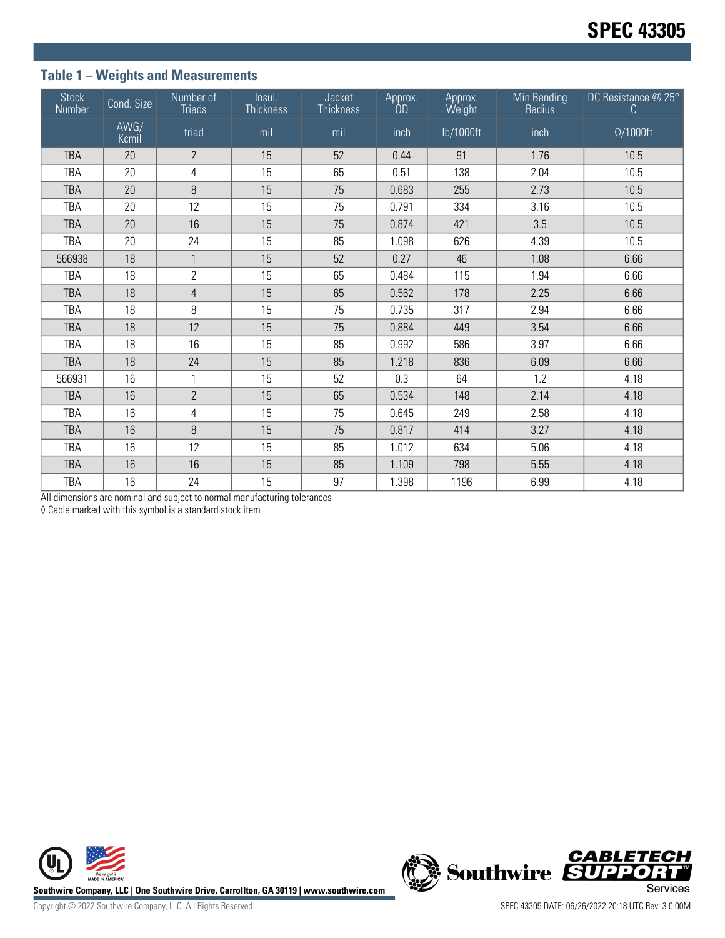## **Table 1 – Weights and Measurements**

| <b>Stock</b><br>Number | Cond. Size    | Number of<br><b>Triads</b> | Insul.<br><b>Thickness</b> | Jacket<br><b>Thickness</b> | Approx.<br>ÒD | Approx.<br>Weight | Min Bending<br>Radius | DC Resistance @ 25°<br>C |
|------------------------|---------------|----------------------------|----------------------------|----------------------------|---------------|-------------------|-----------------------|--------------------------|
|                        | AWG/<br>Kcmil | triad                      | mil                        | mil                        | inch          | lb/1000ft         | inch                  | $\Omega/1000$ ft         |
| <b>TBA</b>             | 20            | $\overline{2}$             | 15                         | 52                         | 0.44          | 91                | 1.76                  | 10.5                     |
| TBA                    | 20            | $\overline{4}$             | 15                         | 65                         | 0.51          | 138               | 2.04                  | 10.5                     |
| <b>TBA</b>             | 20            | 8                          | 15                         | 75                         | 0.683         | 255               | 2.73                  | 10.5                     |
| TBA                    | 20            | 12                         | 15                         | 75                         | 0.791         | 334               | 3.16                  | 10.5                     |
| <b>TBA</b>             | 20            | 16                         | 15                         | 75                         | 0.874         | 421               | 3.5                   | 10.5                     |
| TBA                    | 20            | 24                         | 15                         | 85                         | 1.098         | 626               | 4.39                  | 10.5                     |
| 566938                 | 18            | $\mathbf{1}$               | 15                         | 52                         | 0.27          | 46                | 1.08                  | 6.66                     |
| TBA                    | 18            | $\overline{2}$             | 15                         | 65                         | 0.484         | 115               | 1.94                  | 6.66                     |
| <b>TBA</b>             | 18            | $\overline{4}$             | 15                         | 65                         | 0.562         | 178               | 2.25                  | 6.66                     |
| TBA                    | 18            | 8                          | 15                         | 75                         | 0.735         | 317               | 2.94                  | 6.66                     |
| <b>TBA</b>             | 18            | 12                         | 15                         | 75                         | 0.884         | 449               | 3.54                  | 6.66                     |
| TBA                    | 18            | 16                         | 15                         | 85                         | 0.992         | 586               | 3.97                  | 6.66                     |
| <b>TBA</b>             | 18            | 24                         | 15                         | 85                         | 1.218         | 836               | 6.09                  | 6.66                     |
| 566931                 | 16            | $\mathbf{1}$               | 15                         | 52                         | 0.3           | 64                | 1.2                   | 4.18                     |
| <b>TBA</b>             | 16            | $\overline{2}$             | 15                         | 65                         | 0.534         | 148               | 2.14                  | 4.18                     |
| TBA                    | 16            | $\overline{4}$             | 15                         | 75                         | 0.645         | 249               | 2.58                  | 4.18                     |
| <b>TBA</b>             | 16            | 8                          | 15                         | 75                         | 0.817         | 414               | 3.27                  | 4.18                     |
| <b>TBA</b>             | 16            | 12                         | 15                         | 85                         | 1.012         | 634               | 5.06                  | 4.18                     |
| <b>TBA</b>             | 16            | 16                         | 15                         | 85                         | 1.109         | 798               | 5.55                  | 4.18                     |
| <b>TBA</b>             | 16            | 24                         | 15                         | 97                         | 1.398         | 1196              | 6.99                  | 4.18                     |

All dimensions are nominal and subject to normal manufacturing tolerances

◊ Cable marked with this symbol is a standard stock item